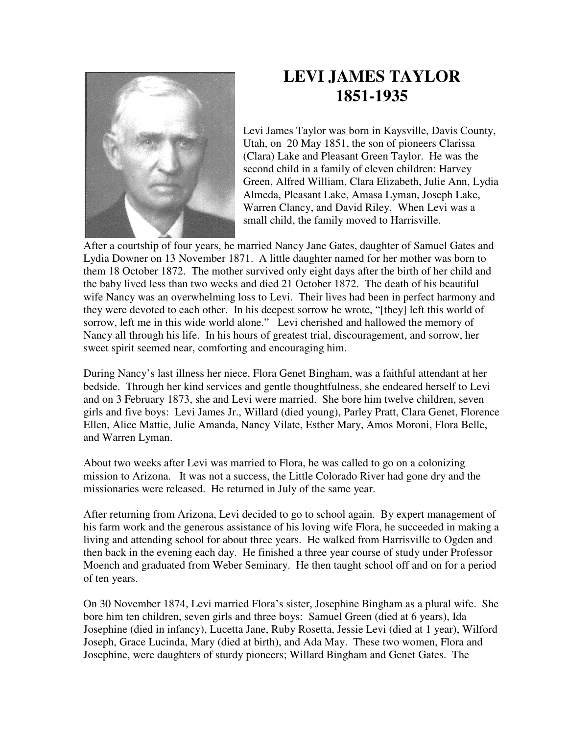

## **LEVI JAMES TAYLOR 1851-1935**

Levi James Taylor was born in Kaysville, Davis County, Utah, on 20 May 1851, the son of pioneers Clarissa (Clara) Lake and Pleasant Green Taylor. He was the second child in a family of eleven children: Harvey Green, Alfred William, Clara Elizabeth, Julie Ann, Lydia Almeda, Pleasant Lake, Amasa Lyman, Joseph Lake, Warren Clancy, and David Riley. When Levi was a small child, the family moved to Harrisville.

After a courtship of four years, he married Nancy Jane Gates, daughter of Samuel Gates and Lydia Downer on 13 November 1871. A little daughter named for her mother was born to them 18 October 1872. The mother survived only eight days after the birth of her child and the baby lived less than two weeks and died 21 October 1872. The death of his beautiful wife Nancy was an overwhelming loss to Levi. Their lives had been in perfect harmony and they were devoted to each other. In his deepest sorrow he wrote, "[they] left this world of sorrow, left me in this wide world alone." Levi cherished and hallowed the memory of Nancy all through his life. In his hours of greatest trial, discouragement, and sorrow, her sweet spirit seemed near, comforting and encouraging him.

During Nancy's last illness her niece, Flora Genet Bingham, was a faithful attendant at her bedside. Through her kind services and gentle thoughtfulness, she endeared herself to Levi and on 3 February 1873, she and Levi were married. She bore him twelve children, seven girls and five boys: Levi James Jr., Willard (died young), Parley Pratt, Clara Genet, Florence Ellen, Alice Mattie, Julie Amanda, Nancy Vilate, Esther Mary, Amos Moroni, Flora Belle, and Warren Lyman.

About two weeks after Levi was married to Flora, he was called to go on a colonizing mission to Arizona. It was not a success, the Little Colorado River had gone dry and the missionaries were released. He returned in July of the same year.

After returning from Arizona, Levi decided to go to school again. By expert management of his farm work and the generous assistance of his loving wife Flora, he succeeded in making a living and attending school for about three years. He walked from Harrisville to Ogden and then back in the evening each day. He finished a three year course of study under Professor Moench and graduated from Weber Seminary. He then taught school off and on for a period of ten years.

On 30 November 1874, Levi married Flora's sister, Josephine Bingham as a plural wife. She bore him ten children, seven girls and three boys: Samuel Green (died at 6 years), Ida Josephine (died in infancy), Lucetta Jane, Ruby Rosetta, Jessie Levi (died at 1 year), Wilford Joseph, Grace Lucinda, Mary (died at birth), and Ada May. These two women, Flora and Josephine, were daughters of sturdy pioneers; Willard Bingham and Genet Gates. The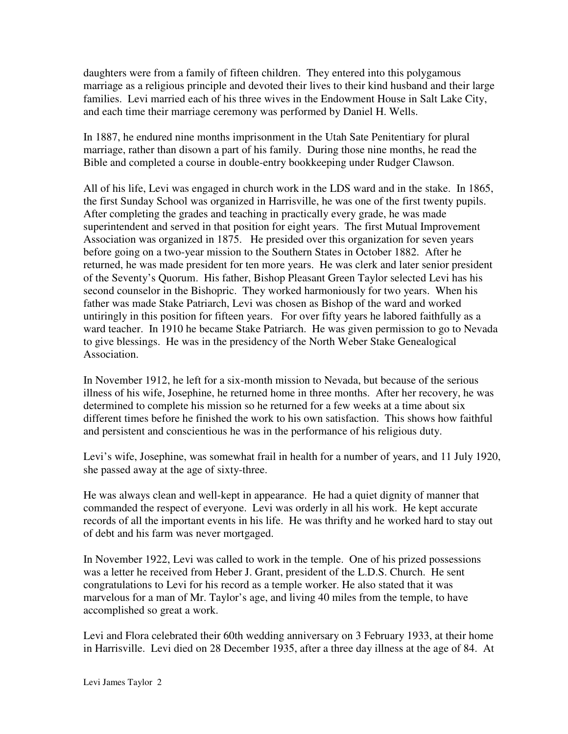daughters were from a family of fifteen children. They entered into this polygamous marriage as a religious principle and devoted their lives to their kind husband and their large families. Levi married each of his three wives in the Endowment House in Salt Lake City, and each time their marriage ceremony was performed by Daniel H. Wells.

In 1887, he endured nine months imprisonment in the Utah Sate Penitentiary for plural marriage, rather than disown a part of his family. During those nine months, he read the Bible and completed a course in double-entry bookkeeping under Rudger Clawson.

All of his life, Levi was engaged in church work in the LDS ward and in the stake. In 1865, the first Sunday School was organized in Harrisville, he was one of the first twenty pupils. After completing the grades and teaching in practically every grade, he was made superintendent and served in that position for eight years. The first Mutual Improvement Association was organized in 1875. He presided over this organization for seven years before going on a two-year mission to the Southern States in October 1882. After he returned, he was made president for ten more years. He was clerk and later senior president of the Seventy's Quorum. His father, Bishop Pleasant Green Taylor selected Levi has his second counselor in the Bishopric. They worked harmoniously for two years. When his father was made Stake Patriarch, Levi was chosen as Bishop of the ward and worked untiringly in this position for fifteen years. For over fifty years he labored faithfully as a ward teacher. In 1910 he became Stake Patriarch. He was given permission to go to Nevada to give blessings. He was in the presidency of the North Weber Stake Genealogical Association.

In November 1912, he left for a six-month mission to Nevada, but because of the serious illness of his wife, Josephine, he returned home in three months. After her recovery, he was determined to complete his mission so he returned for a few weeks at a time about six different times before he finished the work to his own satisfaction. This shows how faithful and persistent and conscientious he was in the performance of his religious duty.

Levi's wife, Josephine, was somewhat frail in health for a number of years, and 11 July 1920, she passed away at the age of sixty-three.

He was always clean and well-kept in appearance. He had a quiet dignity of manner that commanded the respect of everyone. Levi was orderly in all his work. He kept accurate records of all the important events in his life. He was thrifty and he worked hard to stay out of debt and his farm was never mortgaged.

In November 1922, Levi was called to work in the temple. One of his prized possessions was a letter he received from Heber J. Grant, president of the L.D.S. Church. He sent congratulations to Levi for his record as a temple worker. He also stated that it was marvelous for a man of Mr. Taylor's age, and living 40 miles from the temple, to have accomplished so great a work.

Levi and Flora celebrated their 60th wedding anniversary on 3 February 1933, at their home in Harrisville. Levi died on 28 December 1935, after a three day illness at the age of 84. At